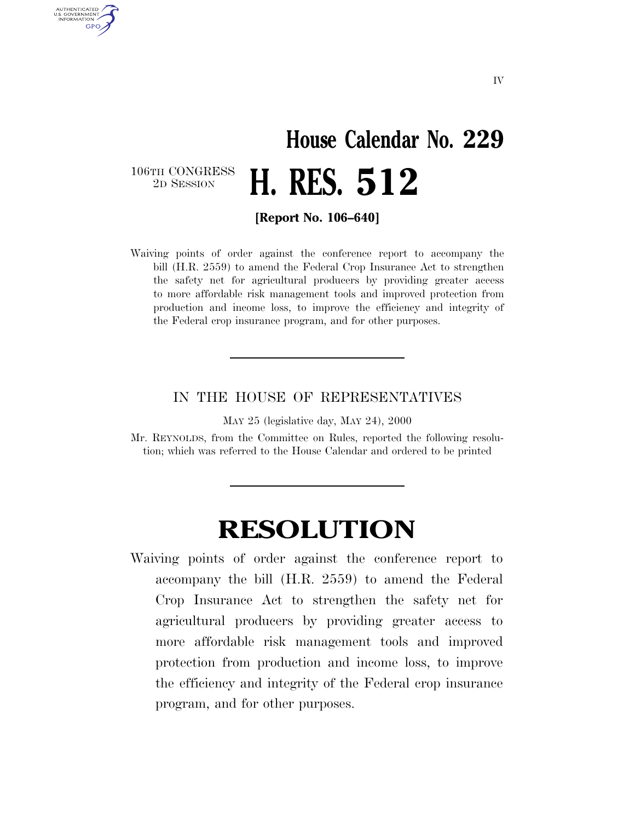## **House Calendar No. 229** 2D SESSION **H. RES. 512**

106TH CONGRESS<br>2D SESSION

AUTHENTICATED U.S. GOVERNMENT **GPO** 

**[Report No. 106–640]**

Waiving points of order against the conference report to accompany the bill (H.R. 2559) to amend the Federal Crop Insurance Act to strengthen the safety net for agricultural producers by providing greater access to more affordable risk management tools and improved protection from production and income loss, to improve the efficiency and integrity of the Federal crop insurance program, and for other purposes.

## IN THE HOUSE OF REPRESENTATIVES

MAY 25 (legislative day, MAY 24), 2000

Mr. REYNOLDS, from the Committee on Rules, reported the following resolution; which was referred to the House Calendar and ordered to be printed

## **RESOLUTION**

Waiving points of order against the conference report to accompany the bill (H.R. 2559) to amend the Federal Crop Insurance Act to strengthen the safety net for agricultural producers by providing greater access to more affordable risk management tools and improved protection from production and income loss, to improve the efficiency and integrity of the Federal crop insurance program, and for other purposes.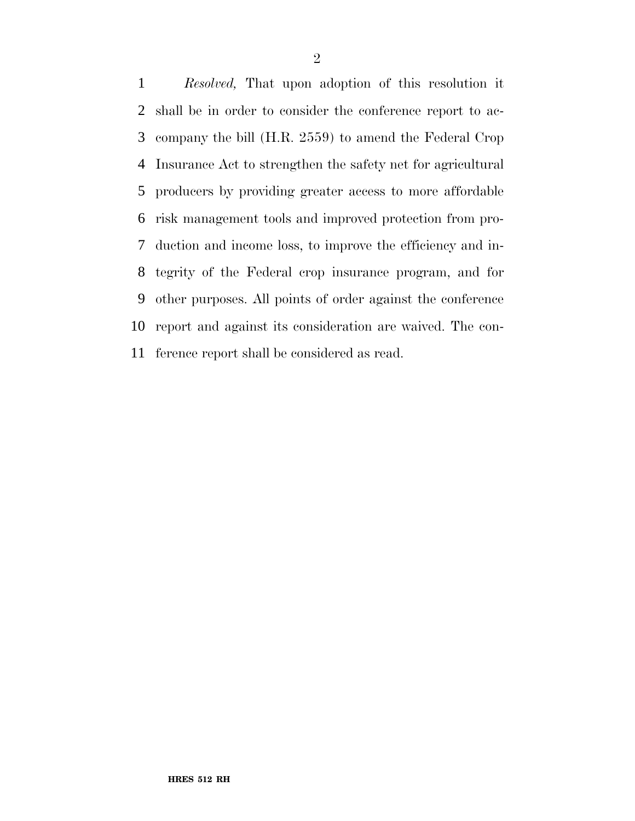*Resolved,* That upon adoption of this resolution it shall be in order to consider the conference report to ac- company the bill (H.R. 2559) to amend the Federal Crop Insurance Act to strengthen the safety net for agricultural producers by providing greater access to more affordable risk management tools and improved protection from pro- duction and income loss, to improve the efficiency and in- tegrity of the Federal crop insurance program, and for other purposes. All points of order against the conference report and against its consideration are waived. The con-ference report shall be considered as read.